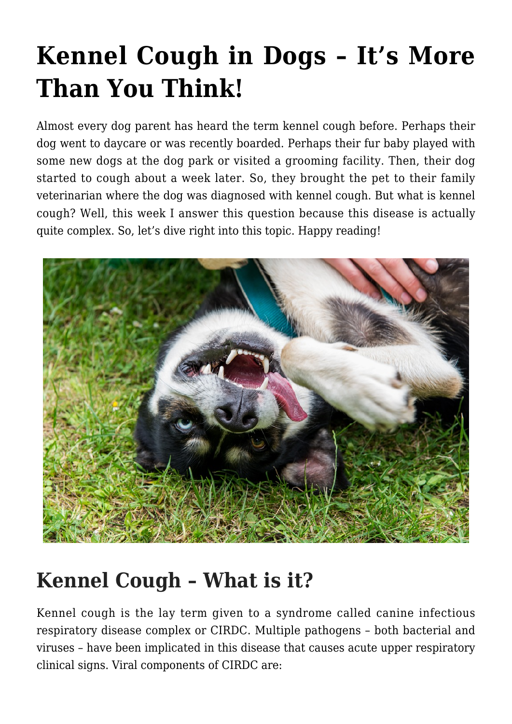# **[Kennel Cough in Dogs – It's More](https://criticalcaredvm.com/kennel-cough-dogs/) [Than You Think!](https://criticalcaredvm.com/kennel-cough-dogs/)**

Almost every dog parent has heard the term kennel cough before. Perhaps their dog went to daycare or was recently boarded. Perhaps their fur baby played with some new dogs at the dog park or visited a grooming facility. Then, their dog started to cough about a week later. So, they brought the pet to their family veterinarian where the dog was diagnosed with kennel cough. But what is kennel cough? Well, this week I answer this question because this disease is actually quite complex. So, let's dive right into this topic. Happy reading!



### **Kennel Cough – What is it?**

Kennel cough is the lay term given to a syndrome called canine infectious respiratory disease complex or CIRDC. Multiple pathogens – both bacterial and viruses – have been implicated in this disease that causes acute upper respiratory clinical signs. Viral components of CIRDC are: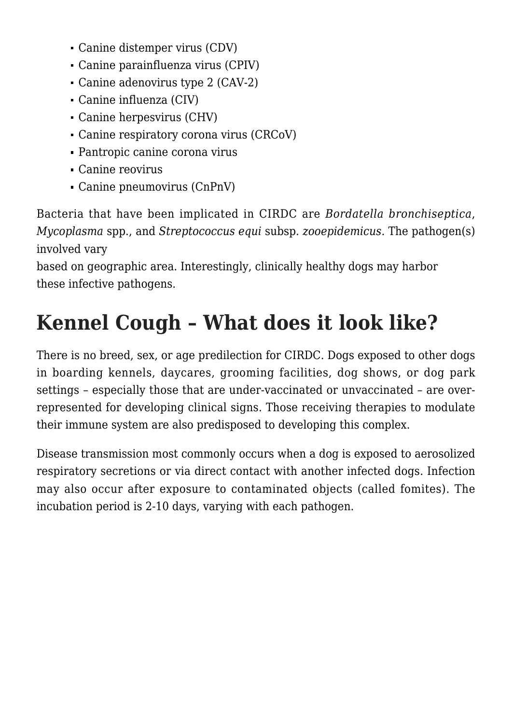- Canine distemper virus (CDV)
- Canine parainfluenza virus (CPIV)
- Canine adenovirus type 2 (CAV-2)
- [Canine influenza \(CIV\)](https://criticalcaredvm.com/canine-influenza-what-you-need-to-know/)
- Canine herpesvirus (CHV)
- Canine respiratory corona virus (CRCoV)
- Pantropic canine corona virus
- Canine reovirus
- Canine pneumovirus (CnPnV)

Bacteria that have been implicated in CIRDC are *Bordatella bronchiseptica*, *Mycoplasma* spp., and *Streptococcus equi* subsp. *zooepidemicus.* The pathogen(s) involved vary

based on geographic area. Interestingly, clinically healthy dogs may harbor these infective pathogens.

## **Kennel Cough – What does it look like?**

There is no breed, sex, or age predilection for CIRDC. Dogs exposed to other dogs in boarding kennels, daycares, grooming facilities, dog shows, or dog park settings – especially those that are under-vaccinated or unvaccinated – are overrepresented for developing clinical signs. Those receiving therapies to modulate their immune system are also predisposed to developing this complex.

Disease transmission most commonly occurs when a dog is exposed to aerosolized respiratory secretions or via direct contact with another infected dogs. Infection may also occur after exposure to contaminated objects (called fomites). The incubation period is 2-10 days, varying with each pathogen.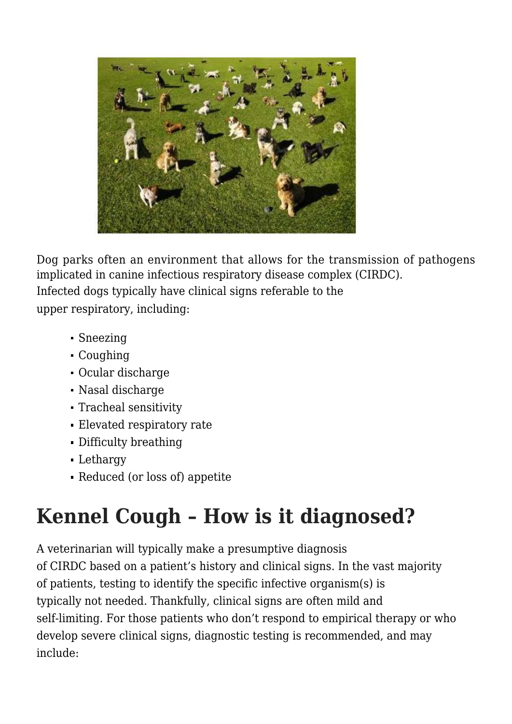

Dog parks often an environment that allows for the transmission of pathogens implicated in canine infectious respiratory disease complex (CIRDC). Infected dogs typically have clinical signs referable to the upper respiratory, including:

- Sneezing
- Coughing
- Ocular discharge
- Nasal discharge
- Tracheal sensitivity
- Elevated respiratory rate
- Difficulty breathing
- Lethargy
- Reduced (or loss of) appetite

## **Kennel Cough – How is it diagnosed?**

A veterinarian will typically make a presumptive diagnosis of CIRDC based on a patient's history and clinical signs. In the vast majority of patients, testing to identify the specific infective organism(s) is typically not needed. Thankfully, clinical signs are often mild and self-limiting. For those patients who don't respond to empirical therapy or who develop severe clinical signs, diagnostic testing is recommended, and may include: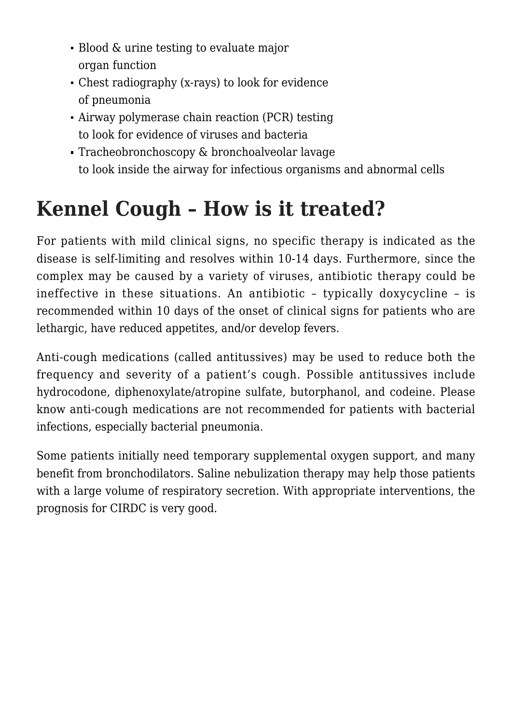- Blood & urine testing to evaluate major organ function
- Chest radiography (x-rays) to look for evidence of pneumonia
- Airway polymerase chain reaction (PCR) testing to look for evidence of viruses and bacteria
- Tracheobronchoscopy & bronchoalveolar lavage to look inside the airway for infectious organisms and abnormal cells

## **Kennel Cough – How is it treated?**

For patients with mild clinical signs, no specific therapy is indicated as the disease is self-limiting and resolves within 10-14 days. Furthermore, since the complex may be caused by a variety of viruses, antibiotic therapy could be ineffective in these situations. An antibiotic – typically doxycycline – is recommended within 10 days of the onset of clinical signs for patients who are lethargic, have reduced appetites, and/or develop fevers.

Anti-cough medications (called antitussives) may be used to reduce both the frequency and severity of a patient's cough. Possible antitussives include hydrocodone, diphenoxylate/atropine sulfate, butorphanol, and codeine. Please know anti-cough medications are not recommended for patients with bacterial infections, especially bacterial pneumonia.

Some patients initially need temporary supplemental oxygen support, and many benefit from bronchodilators. Saline nebulization therapy may help those patients with a large volume of respiratory secretion. With appropriate interventions, the prognosis for CIRDC is very good.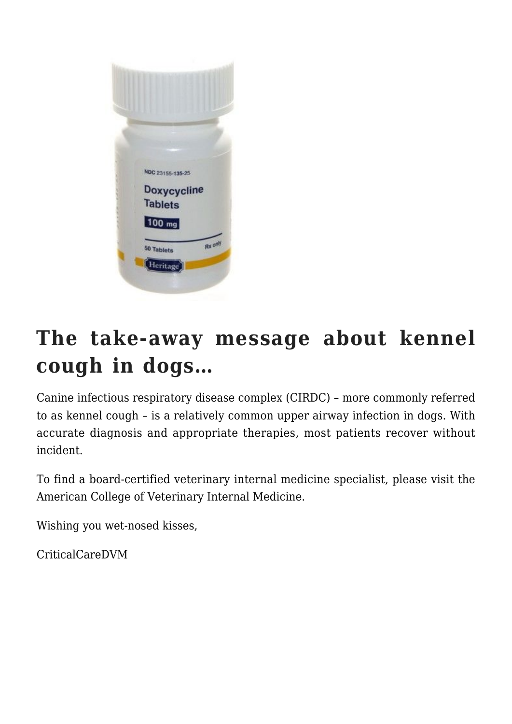

### **The take-away message about kennel cough in dogs…**

Canine infectious respiratory disease complex (CIRDC) – more commonly referred to as kennel cough – is a relatively common upper airway infection in dogs. With accurate diagnosis and appropriate therapies, most patients recover without incident.

To find a board-certified veterinary internal medicine specialist, please visit the [American College of Veterinary Internal Medicine](http://www.acvim.org).

Wishing you wet-nosed kisses,

CriticalCareDVM